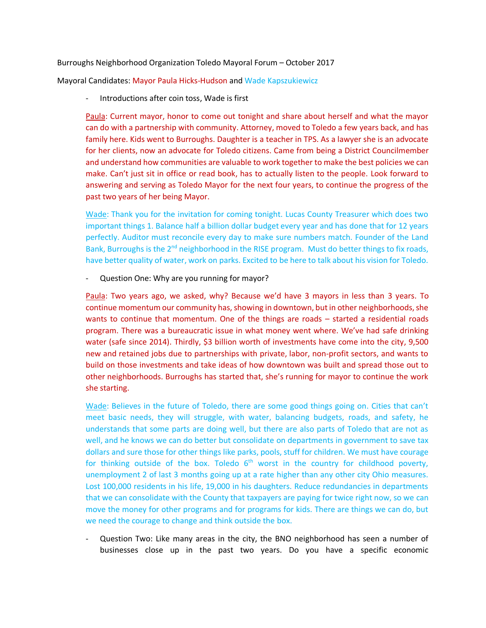## Burroughs Neighborhood Organization Toledo Mayoral Forum – October 2017

Mayoral Candidates: Mayor Paula Hicks-Hudson and Wade Kapszukiewicz

Introductions after coin toss, Wade is first

Paula: Current mayor, honor to come out tonight and share about herself and what the mayor can do with a partnership with community. Attorney, moved to Toledo a few years back, and has family here. Kids went to Burroughs. Daughter is a teacher in TPS. As a lawyer she is an advocate for her clients, now an advocate for Toledo citizens. Came from being a District Councilmember and understand how communities are valuable to work together to make the best policies we can make. Can't just sit in office or read book, has to actually listen to the people. Look forward to answering and serving as Toledo Mayor for the next four years, to continue the progress of the past two years of her being Mayor.

Wade: Thank you for the invitation for coming tonight. Lucas County Treasurer which does two important things 1. Balance half a billion dollar budget every year and has done that for 12 years perfectly. Auditor must reconcile every day to make sure numbers match. Founder of the Land Bank, Burroughs is the  $2^{nd}$  neighborhood in the RISE program. Must do better things to fix roads, have better quality of water, work on parks. Excited to be here to talk about his vision for Toledo.

## - Question One: Why are you running for mayor?

Paula: Two years ago, we asked, why? Because we'd have 3 mayors in less than 3 years. To continue momentum our community has, showing in downtown, but in other neighborhoods, she wants to continue that momentum. One of the things are roads – started a residential roads program. There was a bureaucratic issue in what money went where. We've had safe drinking water (safe since 2014). Thirdly, \$3 billion worth of investments have come into the city, 9,500 new and retained jobs due to partnerships with private, labor, non-profit sectors, and wants to build on those investments and take ideas of how downtown was built and spread those out to other neighborhoods. Burroughs has started that, she's running for mayor to continue the work she starting.

Wade: Believes in the future of Toledo, there are some good things going on. Cities that can't meet basic needs, they will struggle, with water, balancing budgets, roads, and safety, he understands that some parts are doing well, but there are also parts of Toledo that are not as well, and he knows we can do better but consolidate on departments in government to save tax dollars and sure those for other things like parks, pools, stuff for children. We must have courage for thinking outside of the box. Toledo  $6<sup>th</sup>$  worst in the country for childhood poverty, unemployment 2 of last 3 months going up at a rate higher than any other city Ohio measures. Lost 100,000 residents in his life, 19,000 in his daughters. Reduce redundancies in departments that we can consolidate with the County that taxpayers are paying for twice right now, so we can move the money for other programs and for programs for kids. There are things we can do, but we need the courage to change and think outside the box.

- Question Two: Like many areas in the city, the BNO neighborhood has seen a number of businesses close up in the past two years. Do you have a specific economic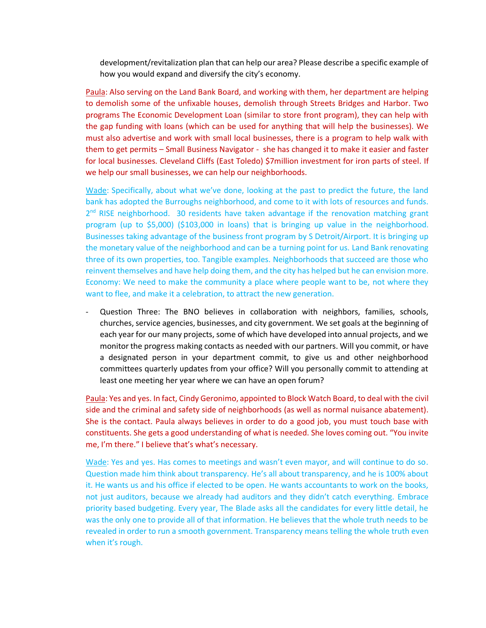development/revitalization plan that can help our area? Please describe a specific example of how you would expand and diversify the city's economy.

Paula: Also serving on the Land Bank Board, and working with them, her department are helping to demolish some of the unfixable houses, demolish through Streets Bridges and Harbor. Two programs The Economic Development Loan (similar to store front program), they can help with the gap funding with loans (which can be used for anything that will help the businesses). We must also advertise and work with small local businesses, there is a program to help walk with them to get permits – Small Business Navigator - she has changed it to make it easier and faster for local businesses. Cleveland Cliffs (East Toledo) \$7million investment for iron parts of steel. If we help our small businesses, we can help our neighborhoods.

Wade: Specifically, about what we've done, looking at the past to predict the future, the land bank has adopted the Burroughs neighborhood, and come to it with lots of resources and funds. 2<sup>nd</sup> RISE neighborhood. 30 residents have taken advantage if the renovation matching grant program (up to \$5,000) (\$103,000 in loans) that is bringing up value in the neighborhood. Businesses taking advantage of the business front program by S Detroit/Airport. It is bringing up the monetary value of the neighborhood and can be a turning point for us. Land Bank renovating three of its own properties, too. Tangible examples. Neighborhoods that succeed are those who reinvent themselves and have help doing them, and the city has helped but he can envision more. Economy: We need to make the community a place where people want to be, not where they want to flee, and make it a celebration, to attract the new generation.

Question Three: The BNO believes in collaboration with neighbors, families, schools, churches, service agencies, businesses, and city government. We set goals at the beginning of each year for our many projects, some of which have developed into annual projects, and we monitor the progress making contacts as needed with our partners. Will you commit, or have a designated person in your department commit, to give us and other neighborhood committees quarterly updates from your office? Will you personally commit to attending at least one meeting her year where we can have an open forum?

Paula: Yes and yes. In fact, Cindy Geronimo, appointed to Block Watch Board, to deal with the civil side and the criminal and safety side of neighborhoods (as well as normal nuisance abatement). She is the contact. Paula always believes in order to do a good job, you must touch base with constituents. She gets a good understanding of what is needed. She loves coming out. "You invite me, I'm there." I believe that's what's necessary.

Wade: Yes and yes. Has comes to meetings and wasn't even mayor, and will continue to do so. Question made him think about transparency. He's all about transparency, and he is 100% about it. He wants us and his office if elected to be open. He wants accountants to work on the books, not just auditors, because we already had auditors and they didn't catch everything. Embrace priority based budgeting. Every year, The Blade asks all the candidates for every little detail, he was the only one to provide all of that information. He believes that the whole truth needs to be revealed in order to run a smooth government. Transparency means telling the whole truth even when it's rough.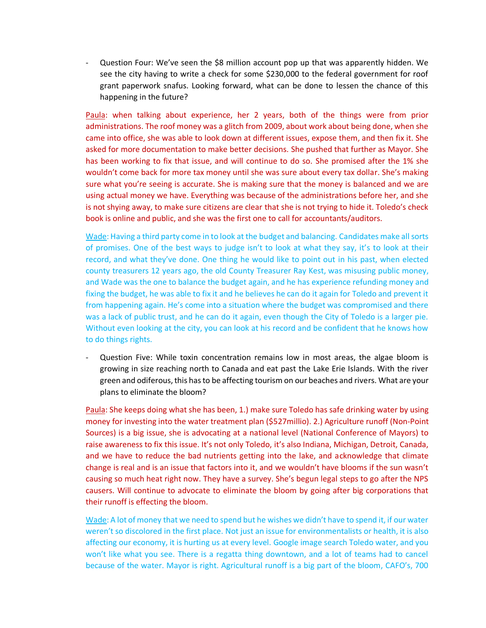- Question Four: We've seen the \$8 million account pop up that was apparently hidden. We see the city having to write a check for some \$230,000 to the federal government for roof grant paperwork snafus. Looking forward, what can be done to lessen the chance of this happening in the future?

Paula: when talking about experience, her 2 years, both of the things were from prior administrations. The roof money was a glitch from 2009, about work about being done, when she came into office, she was able to look down at different issues, expose them, and then fix it. She asked for more documentation to make better decisions. She pushed that further as Mayor. She has been working to fix that issue, and will continue to do so. She promised after the 1% she wouldn't come back for more tax money until she was sure about every tax dollar. She's making sure what you're seeing is accurate. She is making sure that the money is balanced and we are using actual money we have. Everything was because of the administrations before her, and she is not shying away, to make sure citizens are clear that she is not trying to hide it. Toledo's check book is online and public, and she was the first one to call for accountants/auditors.

Wade: Having a third party come in to look at the budget and balancing. Candidates make all sorts of promises. One of the best ways to judge isn't to look at what they say, it's to look at their record, and what they've done. One thing he would like to point out in his past, when elected county treasurers 12 years ago, the old County Treasurer Ray Kest, was misusing public money, and Wade was the one to balance the budget again, and he has experience refunding money and fixing the budget, he was able to fix it and he believes he can do it again for Toledo and prevent it from happening again. He's come into a situation where the budget was compromised and there was a lack of public trust, and he can do it again, even though the City of Toledo is a larger pie. Without even looking at the city, you can look at his record and be confident that he knows how to do things rights.

Question Five: While toxin concentration remains low in most areas, the algae bloom is growing in size reaching north to Canada and eat past the Lake Erie Islands. With the river green and odiferous, this has to be affecting tourism on our beaches and rivers. What are your plans to eliminate the bloom?

Paula: She keeps doing what she has been, 1.) make sure Toledo has safe drinking water by using money for investing into the water treatment plan (\$527millio). 2.) Agriculture runoff (Non-Point Sources) is a big issue, she is advocating at a national level (National Conference of Mayors) to raise awareness to fix this issue. It's not only Toledo, it's also Indiana, Michigan, Detroit, Canada, and we have to reduce the bad nutrients getting into the lake, and acknowledge that climate change is real and is an issue that factors into it, and we wouldn't have blooms if the sun wasn't causing so much heat right now. They have a survey. She's begun legal steps to go after the NPS causers. Will continue to advocate to eliminate the bloom by going after big corporations that their runoff is effecting the bloom.

Wade: A lot of money that we need to spend but he wishes we didn't have to spend it, if our water weren't so discolored in the first place. Not just an issue for environmentalists or health, it is also affecting our economy, it is hurting us at every level. Google image search Toledo water, and you won't like what you see. There is a regatta thing downtown, and a lot of teams had to cancel because of the water. Mayor is right. Agricultural runoff is a big part of the bloom, CAFO's, 700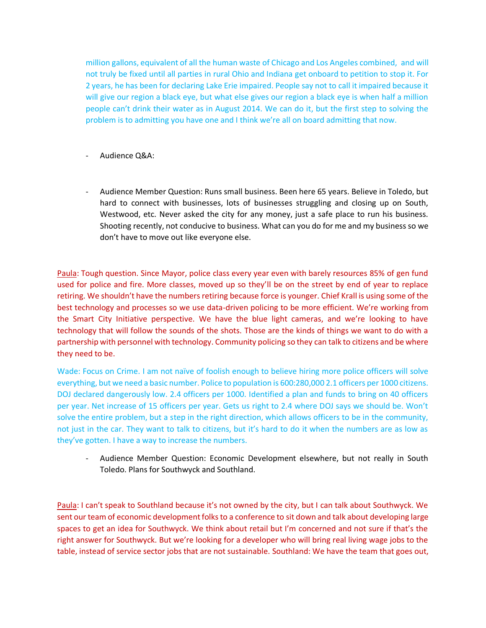million gallons, equivalent of all the human waste of Chicago and Los Angeles combined, and will not truly be fixed until all parties in rural Ohio and Indiana get onboard to petition to stop it. For 2 years, he has been for declaring Lake Erie impaired. People say not to call it impaired because it will give our region a black eye, but what else gives our region a black eye is when half a million people can't drink their water as in August 2014. We can do it, but the first step to solving the problem is to admitting you have one and I think we're all on board admitting that now.

- Audience Q&A:
- Audience Member Question: Runs small business. Been here 65 years. Believe in Toledo, but hard to connect with businesses, lots of businesses struggling and closing up on South, Westwood, etc. Never asked the city for any money, just a safe place to run his business. Shooting recently, not conducive to business. What can you do for me and my business so we don't have to move out like everyone else.

Paula: Tough question. Since Mayor, police class every year even with barely resources 85% of gen fund used for police and fire. More classes, moved up so they'll be on the street by end of year to replace retiring. We shouldn't have the numbers retiring because force is younger. Chief Krall is using some of the best technology and processes so we use data-driven policing to be more efficient. We're working from the Smart City Initiative perspective. We have the blue light cameras, and we're looking to have technology that will follow the sounds of the shots. Those are the kinds of things we want to do with a partnership with personnel with technology. Community policing so they can talk to citizens and be where they need to be.

Wade: Focus on Crime. I am not naïve of foolish enough to believe hiring more police officers will solve everything, but we need a basic number. Police to population is 600:280,000 2.1 officers per 1000 citizens. DOJ declared dangerously low. 2.4 officers per 1000. Identified a plan and funds to bring on 40 officers per year. Net increase of 15 officers per year. Gets us right to 2.4 where DOJ says we should be. Won't solve the entire problem, but a step in the right direction, which allows officers to be in the community, not just in the car. They want to talk to citizens, but it's hard to do it when the numbers are as low as they've gotten. I have a way to increase the numbers.

- Audience Member Question: Economic Development elsewhere, but not really in South Toledo. Plans for Southwyck and Southland.

Paula: I can't speak to Southland because it's not owned by the city, but I can talk about Southwyck. We sent our team of economic development folks to a conference to sit down and talk about developing large spaces to get an idea for Southwyck. We think about retail but I'm concerned and not sure if that's the right answer for Southwyck. But we're looking for a developer who will bring real living wage jobs to the table, instead of service sector jobs that are not sustainable. Southland: We have the team that goes out,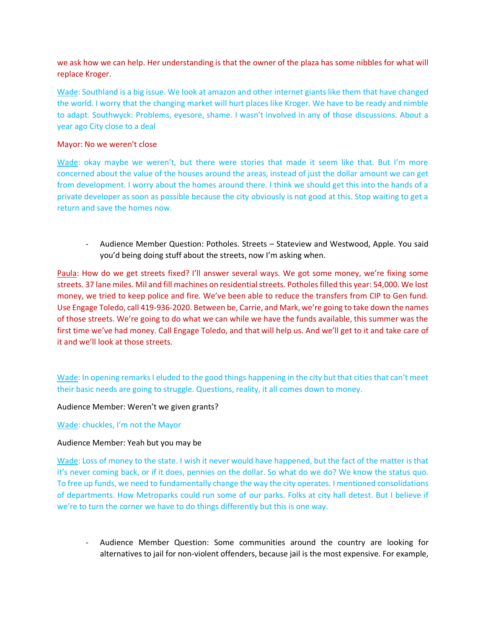we ask how we can help. Her understanding is that the owner of the plaza has some nibbles for what will replace Kroger.

Wade: Southland is a big issue. We look at amazon and other internet giants like them that have changed the world. I worry that the changing market will hurt places like Kroger. We have to be ready and nimble to adapt. Southwyck: Problems, eyesore, shame. I wasn't involved in any of those discussions. About a year ago City close to a deal

# Mayor: No we weren't close

Wade: okay maybe we weren't, but there were stories that made it seem like that. But I'm more concerned about the value of the houses around the areas, instead of just the dollar amount we can get from development. I worry about the homes around there. I think we should get this into the hands of a private developer as soon as possible because the city obviously is not good at this. Stop waiting to get a return and save the homes now.

- Audience Member Question: Potholes. Streets – Stateview and Westwood, Apple. You said you'd being doing stuff about the streets, now I'm asking when.

Paula: How do we get streets fixed? I'll answer several ways. We got some money, we're fixing some streets. 37 lane miles. Mil and fill machines on residential streets. Potholes filled this year: 54,000. We lost money, we tried to keep police and fire. We've been able to reduce the transfers from CIP to Gen fund. Use Engage Toledo, call 419-936-2020. Between be, Carrie, and Mark, we're going to take down the names of those streets. We're going to do what we can while we have the funds available, this summer was the first time we've had money. Call Engage Toledo, and that will help us. And we'll get to it and take care of it and we'll look at those streets.

Wade: In opening remarks I eluded to the good things happening in the city but that cities that can't meet their basic needs are going to struggle. Questions, reality, it all comes down to money.

Audience Member: Weren't we given grants?

# Wade: chuckles, I'm not the Mayor

# Audience Member: Yeah but you may be

Wade: Loss of money to the state. I wish it never would have happened, but the fact of the matter is that it's never coming back, or if it does, pennies on the dollar. So what do we do? We know the status quo. To free up funds, we need to fundamentally change the way the city operates. I mentioned consolidations of departments. How Metroparks could run some of our parks. Folks at city hall detest. But I believe if we're to turn the corner we have to do things differently but this is one way.

- Audience Member Question: Some communities around the country are looking for alternatives to jail for non-violent offenders, because jail is the most expensive. For example,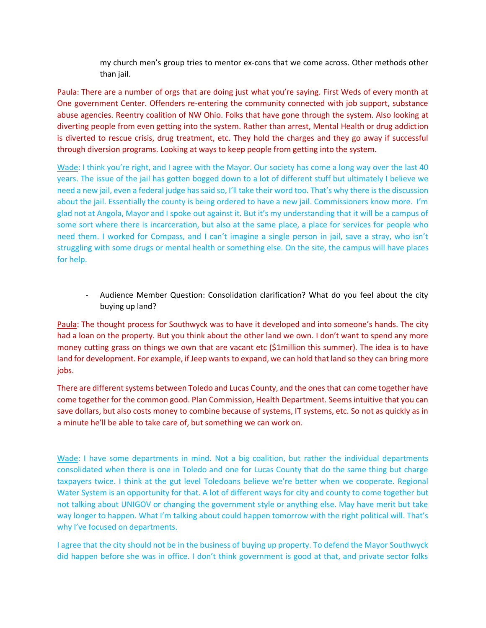my church men's group tries to mentor ex-cons that we come across. Other methods other than jail.

Paula: There are a number of orgs that are doing just what you're saying. First Weds of every month at One government Center. Offenders re-entering the community connected with job support, substance abuse agencies. Reentry coalition of NW Ohio. Folks that have gone through the system. Also looking at diverting people from even getting into the system. Rather than arrest, Mental Health or drug addiction is diverted to rescue crisis, drug treatment, etc. They hold the charges and they go away if successful through diversion programs. Looking at ways to keep people from getting into the system.

Wade: I think you're right, and I agree with the Mayor. Our society has come a long way over the last 40 years. The issue of the jail has gotten bogged down to a lot of different stuff but ultimately I believe we need a new jail, even a federal judge has said so, I'll take their word too. That's why there is the discussion about the jail. Essentially the county is being ordered to have a new jail. Commissioners know more. I'm glad not at Angola, Mayor and I spoke out against it. But it's my understanding that it will be a campus of some sort where there is incarceration, but also at the same place, a place for services for people who need them. I worked for Compass, and I can't imagine a single person in jail, save a stray, who isn't struggling with some drugs or mental health or something else. On the site, the campus will have places for help.

- Audience Member Question: Consolidation clarification? What do you feel about the city buying up land?

Paula: The thought process for Southwyck was to have it developed and into someone's hands. The city had a loan on the property. But you think about the other land we own. I don't want to spend any more money cutting grass on things we own that are vacant etc (\$1million this summer). The idea is to have land for development. For example, if Jeep wants to expand, we can hold that land so they can bring more jobs.

There are different systems between Toledo and Lucas County, and the ones that can come together have come together for the common good. Plan Commission, Health Department. Seems intuitive that you can save dollars, but also costs money to combine because of systems, IT systems, etc. So not as quickly as in a minute he'll be able to take care of, but something we can work on.

Wade: I have some departments in mind. Not a big coalition, but rather the individual departments consolidated when there is one in Toledo and one for Lucas County that do the same thing but charge taxpayers twice. I think at the gut level Toledoans believe we're better when we cooperate. Regional Water System is an opportunity for that. A lot of different ways for city and county to come together but not talking about UNIGOV or changing the government style or anything else. May have merit but take way longer to happen. What I'm talking about could happen tomorrow with the right political will. That's why I've focused on departments.

I agree that the city should not be in the business of buying up property. To defend the Mayor Southwyck did happen before she was in office. I don't think government is good at that, and private sector folks